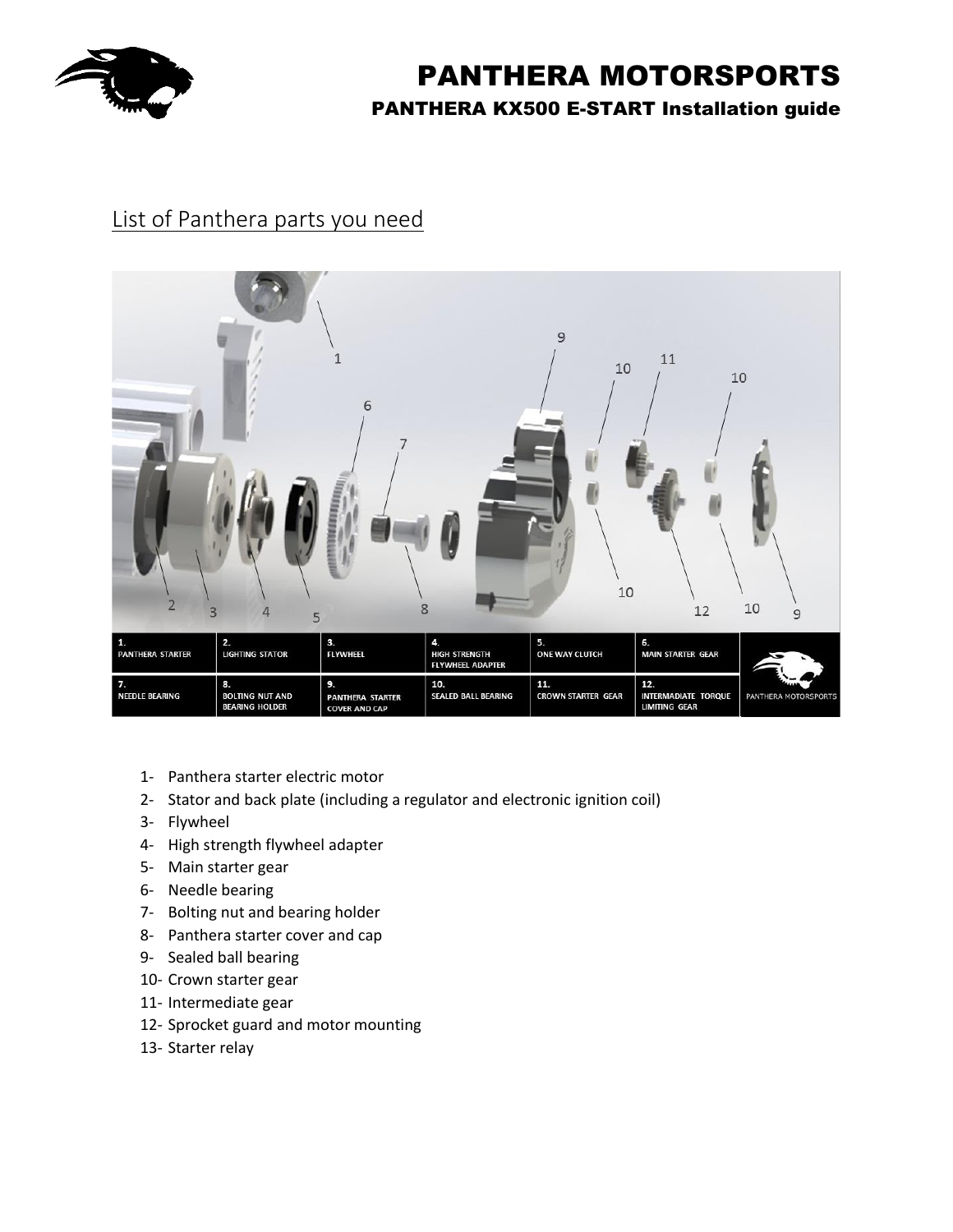

## List of Panthera parts you need



- 1- Panthera starter electric motor
- 2- Stator and back plate (including a regulator and electronic ignition coil)
- 3- Flywheel
- 4- High strength flywheel adapter
- 5- Main starter gear
- 6- Needle bearing
- 7- Bolting nut and bearing holder
- 8- Panthera starter cover and cap
- 9- Sealed ball bearing
- 10- Crown starter gear
- 11- Intermediate gear
- 12- Sprocket guard and motor mounting
- 13- Starter relay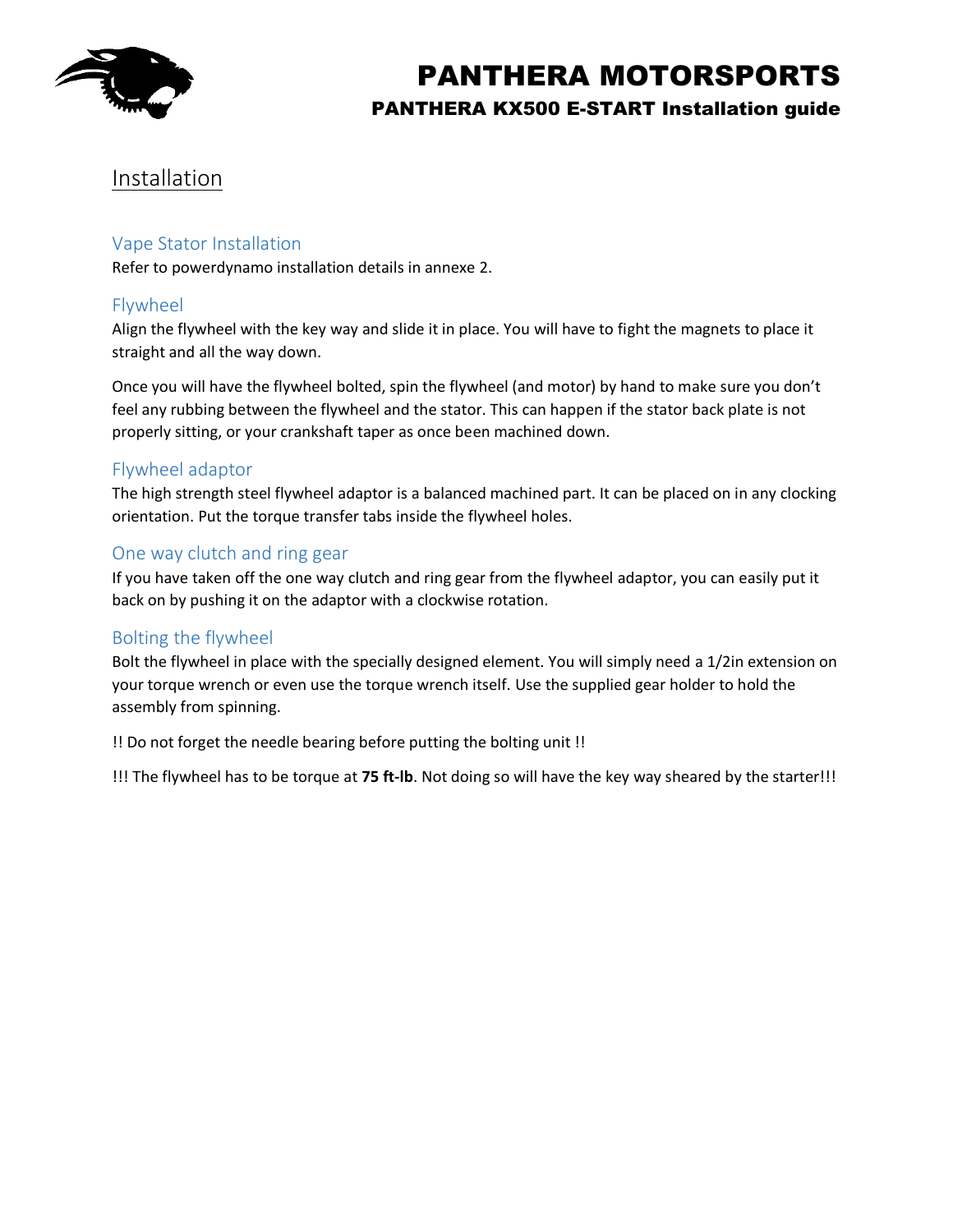

## Installation

## Vape Stator Installation

Refer to powerdynamo installation details in annexe 2.

## Flywheel

Align the flywheel with the key way and slide it in place. You will have to fight the magnets to place it straight and all the way down.

Once you will have the flywheel bolted, spin the flywheel (and motor) by hand to make sure you don't feel any rubbing between the flywheel and the stator. This can happen if the stator back plate is not properly sitting, or your crankshaft taper as once been machined down.

## Flywheel adaptor

The high strength steel flywheel adaptor is a balanced machined part. It can be placed on in any clocking orientation. Put the torque transfer tabs inside the flywheel holes.

## One way clutch and ring gear

If you have taken off the one way clutch and ring gear from the flywheel adaptor, you can easily put it back on by pushing it on the adaptor with a clockwise rotation.

## Bolting the flywheel

Bolt the flywheel in place with the specially designed element. You will simply need a 1/2in extension on your torque wrench or even use the torque wrench itself. Use the supplied gear holder to hold the assembly from spinning.

!! Do not forget the needle bearing before putting the bolting unit !!

!!! The flywheel has to be torque at **75 ft-lb**. Not doing so will have the key way sheared by the starter!!!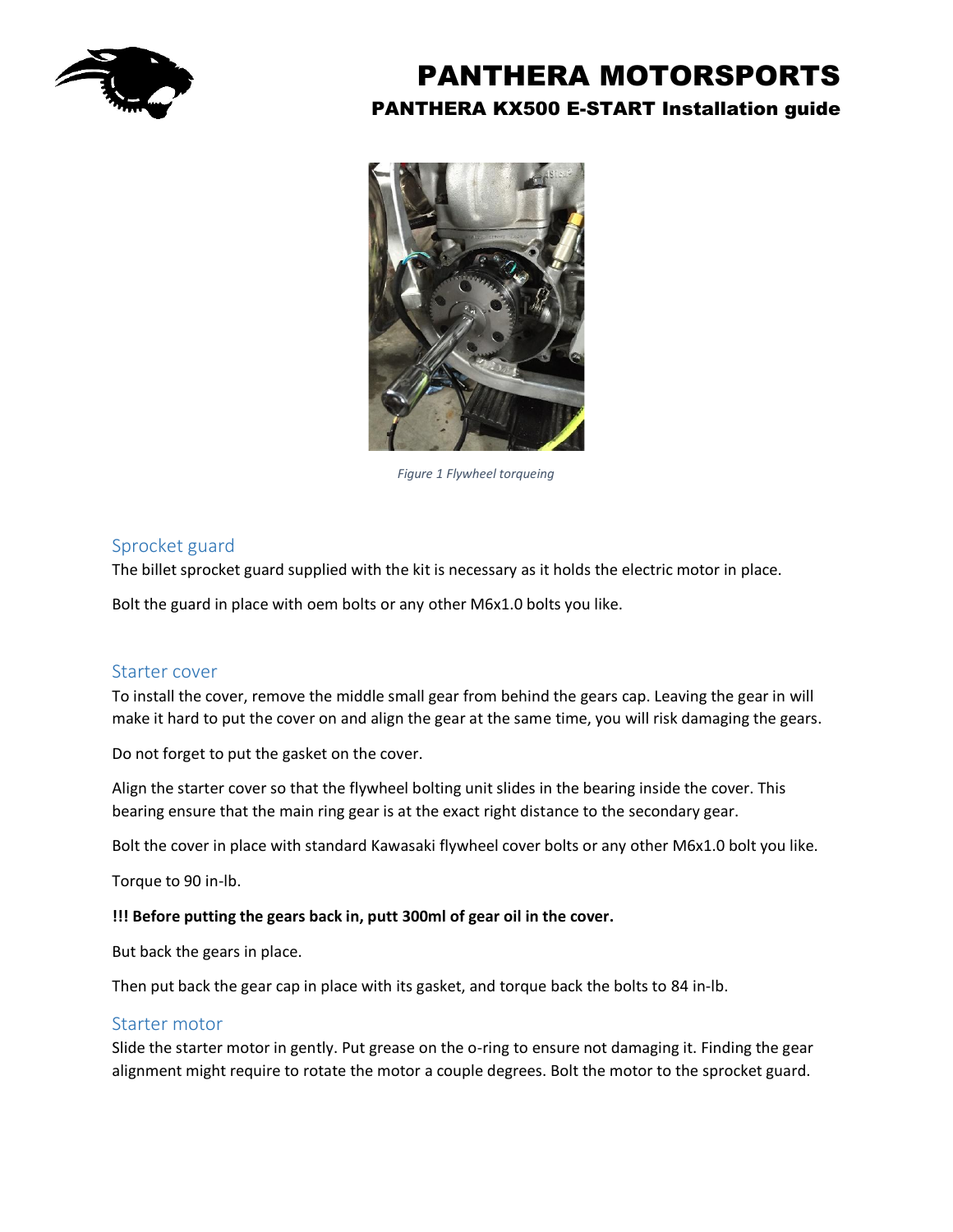



*Figure 1 Flywheel torqueing*

## Sprocket guard

The billet sprocket guard supplied with the kit is necessary as it holds the electric motor in place.

Bolt the guard in place with oem bolts or any other M6x1.0 bolts you like.

#### Starter cover

To install the cover, remove the middle small gear from behind the gears cap. Leaving the gear in will make it hard to put the cover on and align the gear at the same time, you will risk damaging the gears.

Do not forget to put the gasket on the cover.

Align the starter cover so that the flywheel bolting unit slides in the bearing inside the cover. This bearing ensure that the main ring gear is at the exact right distance to the secondary gear.

Bolt the cover in place with standard Kawasaki flywheel cover bolts or any other M6x1.0 bolt you like.

Torque to 90 in-lb.

#### **!!! Before putting the gears back in, putt 300ml of gear oil in the cover.**

But back the gears in place.

Then put back the gear cap in place with its gasket, and torque back the bolts to 84 in-lb.

#### Starter motor

Slide the starter motor in gently. Put grease on the o-ring to ensure not damaging it. Finding the gear alignment might require to rotate the motor a couple degrees. Bolt the motor to the sprocket guard.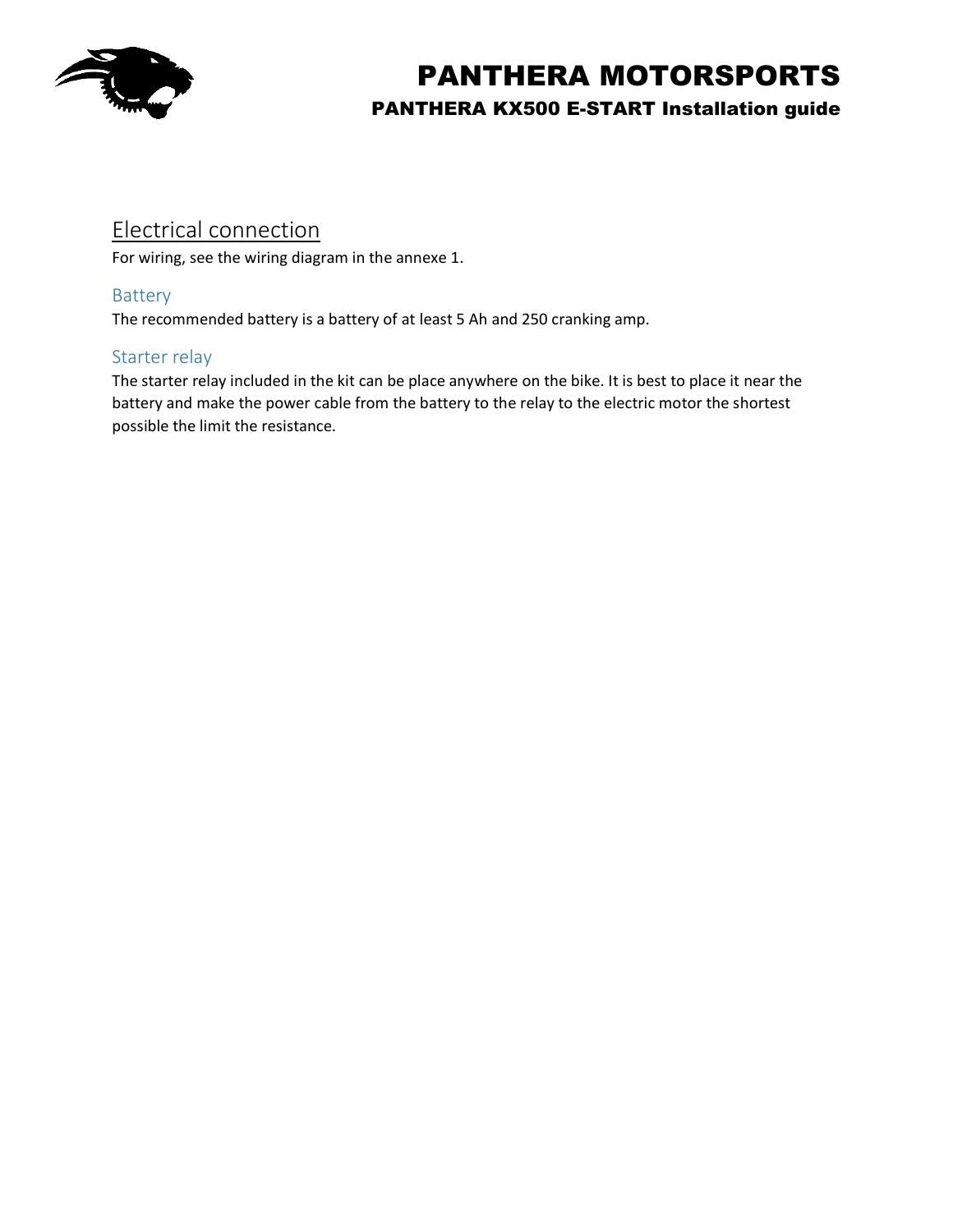

## Electrical connection

For wiring, see the wiring diagram in the annexe 1.

## Battery

The recommended battery is a battery of at least 5 Ah and 250 cranking amp.

## Starter relay

The starter relay included in the kit can be place anywhere on the bike. It is best to place it near the battery and make the power cable from the battery to the relay to the electric motor the shortest possible the limit the resistance.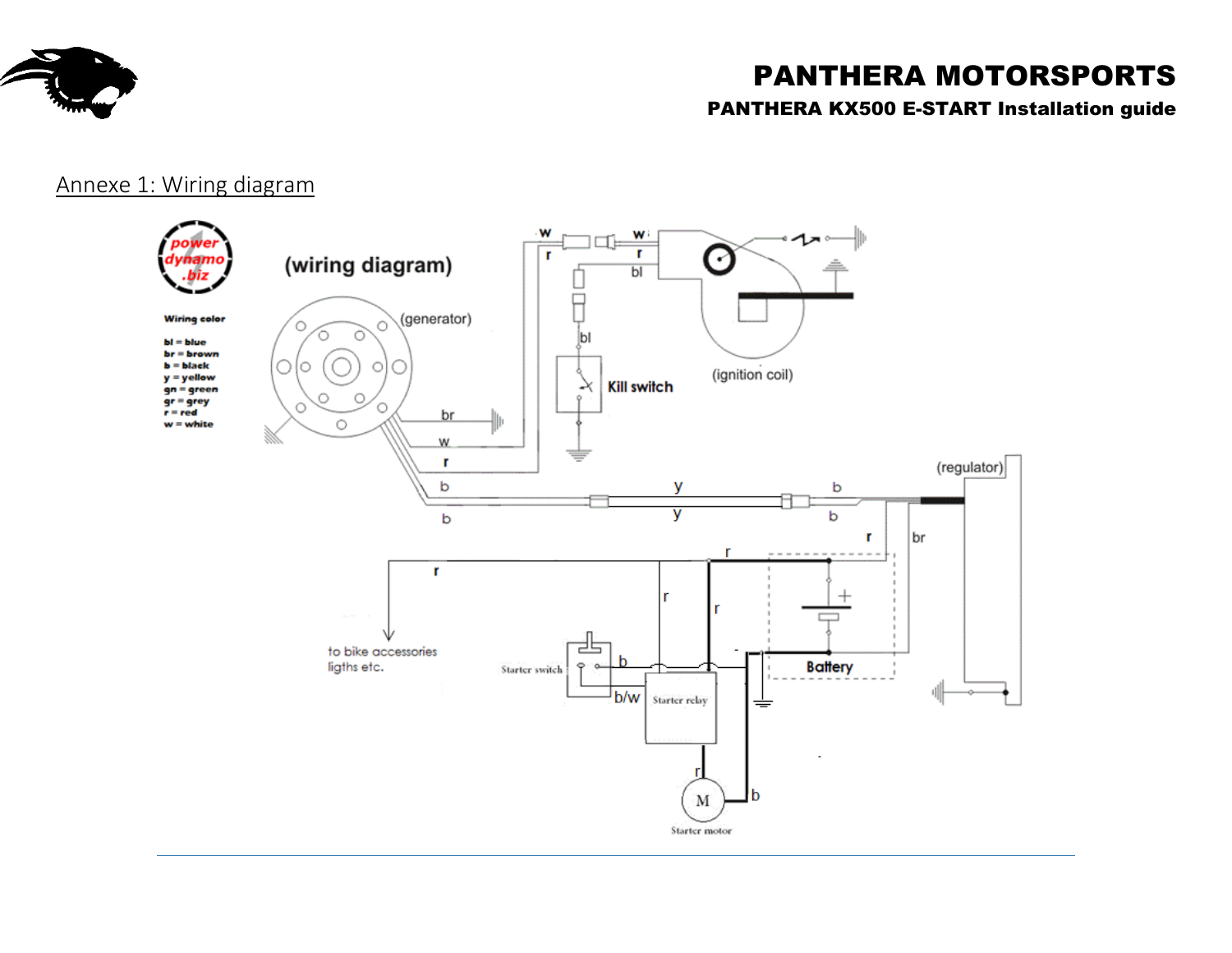

# PANTHERA MOTORSPORTS

## PANTHERA KX500 E-START Installation guide

## Annexe 1: Wiring diagram

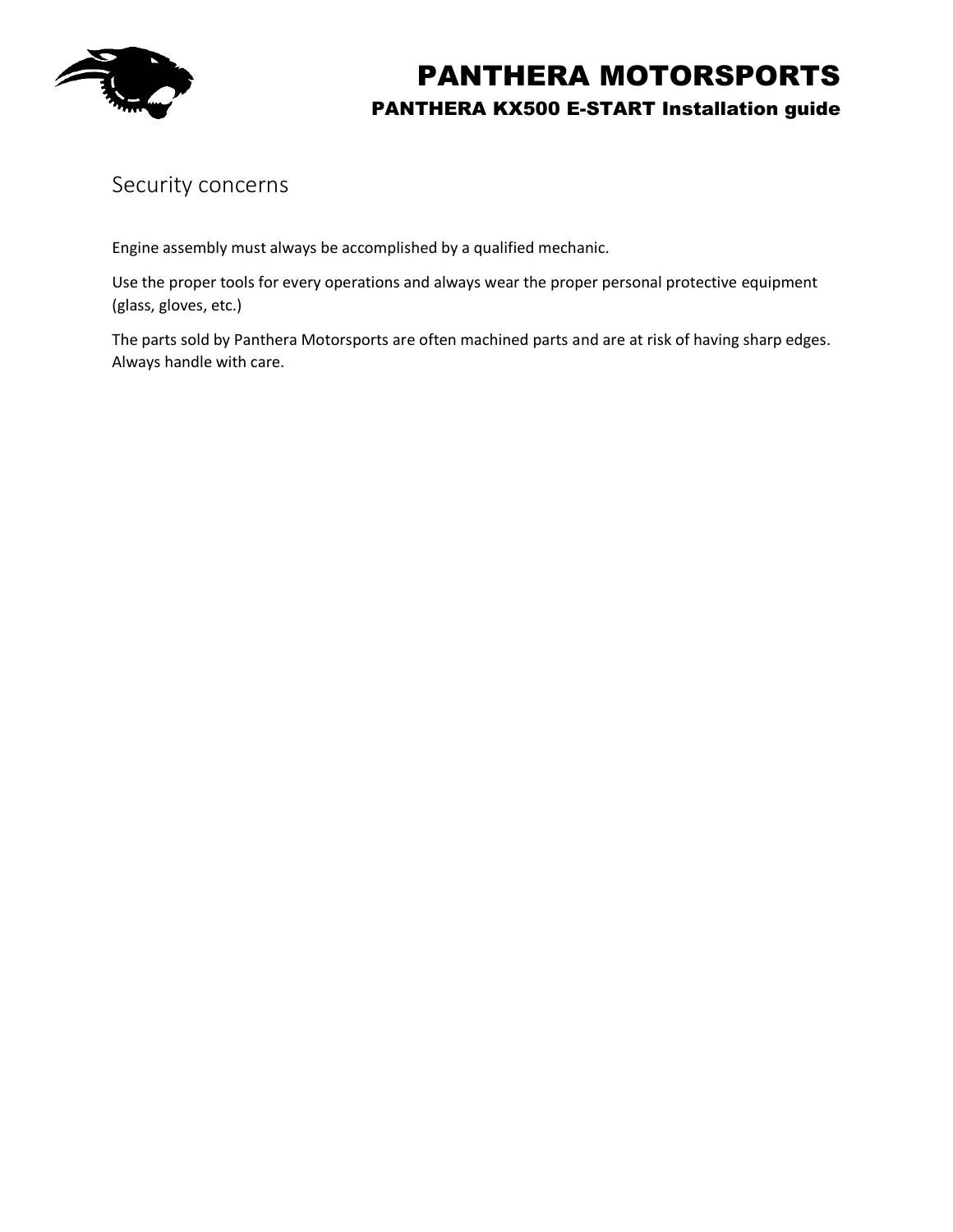

## Security concerns

Engine assembly must always be accomplished by a qualified mechanic.

Use the proper tools for every operations and always wear the proper personal protective equipment (glass, gloves, etc.)

The parts sold by Panthera Motorsports are often machined parts and are at risk of having sharp edges. Always handle with care.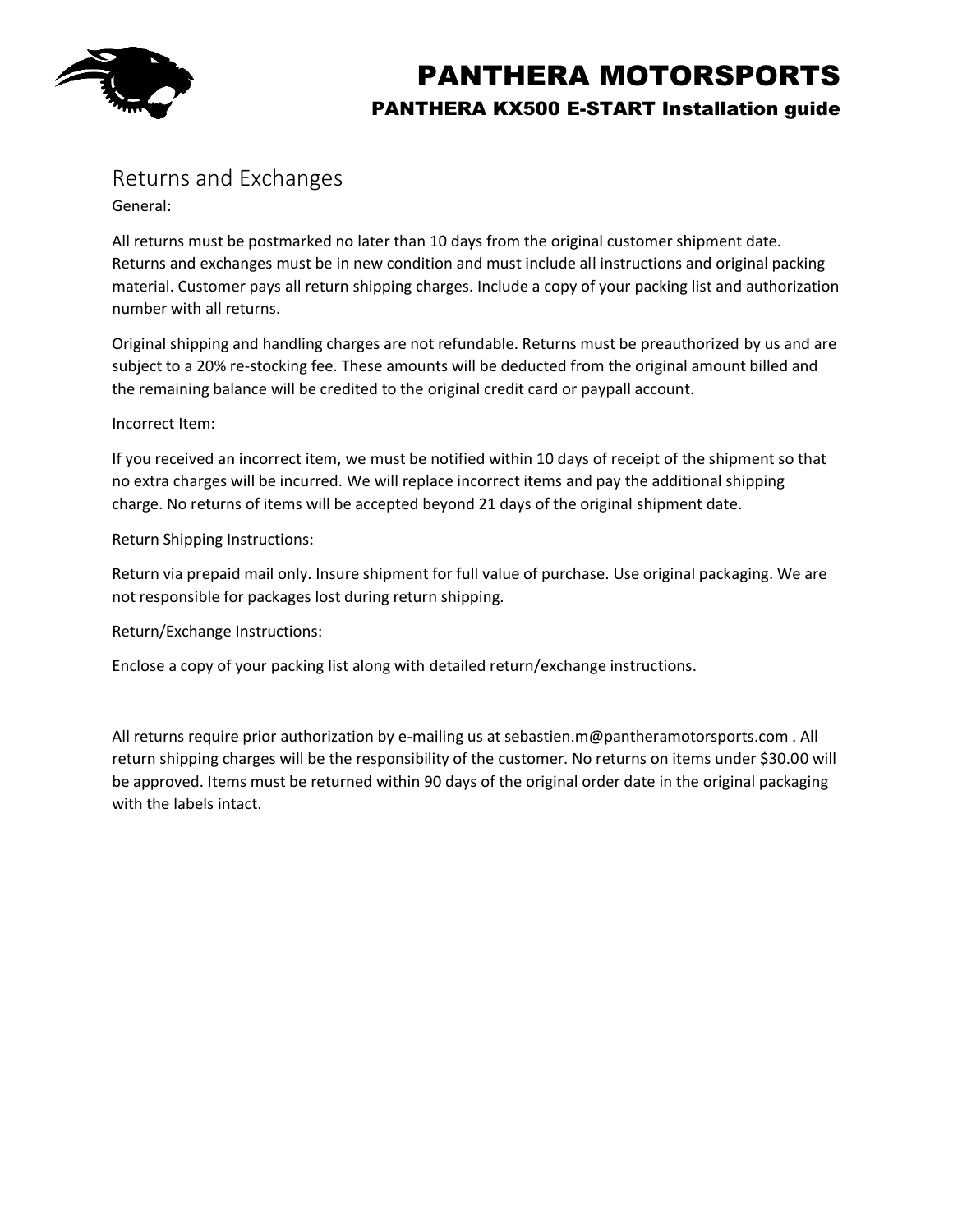

## Returns and Exchanges

General:

All returns must be postmarked no later than 10 days from the original customer shipment date. Returns and exchanges must be in new condition and must include all instructions and original packing material. Customer pays all return shipping charges. Include a copy of your packing list and authorization number with all returns.

Original shipping and handling charges are not refundable. Returns must be preauthorized by us and are subject to a 20% re-stocking fee. These amounts will be deducted from the original amount billed and the remaining balance will be credited to the original credit card or paypall account.

#### Incorrect Item:

If you received an incorrect item, we must be notified within 10 days of receipt of the shipment so that no extra charges will be incurred. We will replace incorrect items and pay the additional shipping charge. No returns of items will be accepted beyond 21 days of the original shipment date.

Return Shipping Instructions:

Return via prepaid mail only. Insure shipment for full value of purchase. Use original packaging. We are not responsible for packages lost during return shipping.

Return/Exchange Instructions:

Enclose a copy of your packing list along with detailed return/exchange instructions.

All returns require prior authorization by e-mailing us at sebastien.m@pantheramotorsports.com . All return shipping charges will be the responsibility of the customer. No returns on items under \$30.00 will be approved. Items must be returned within 90 days of the original order date in the original packaging with the labels intact.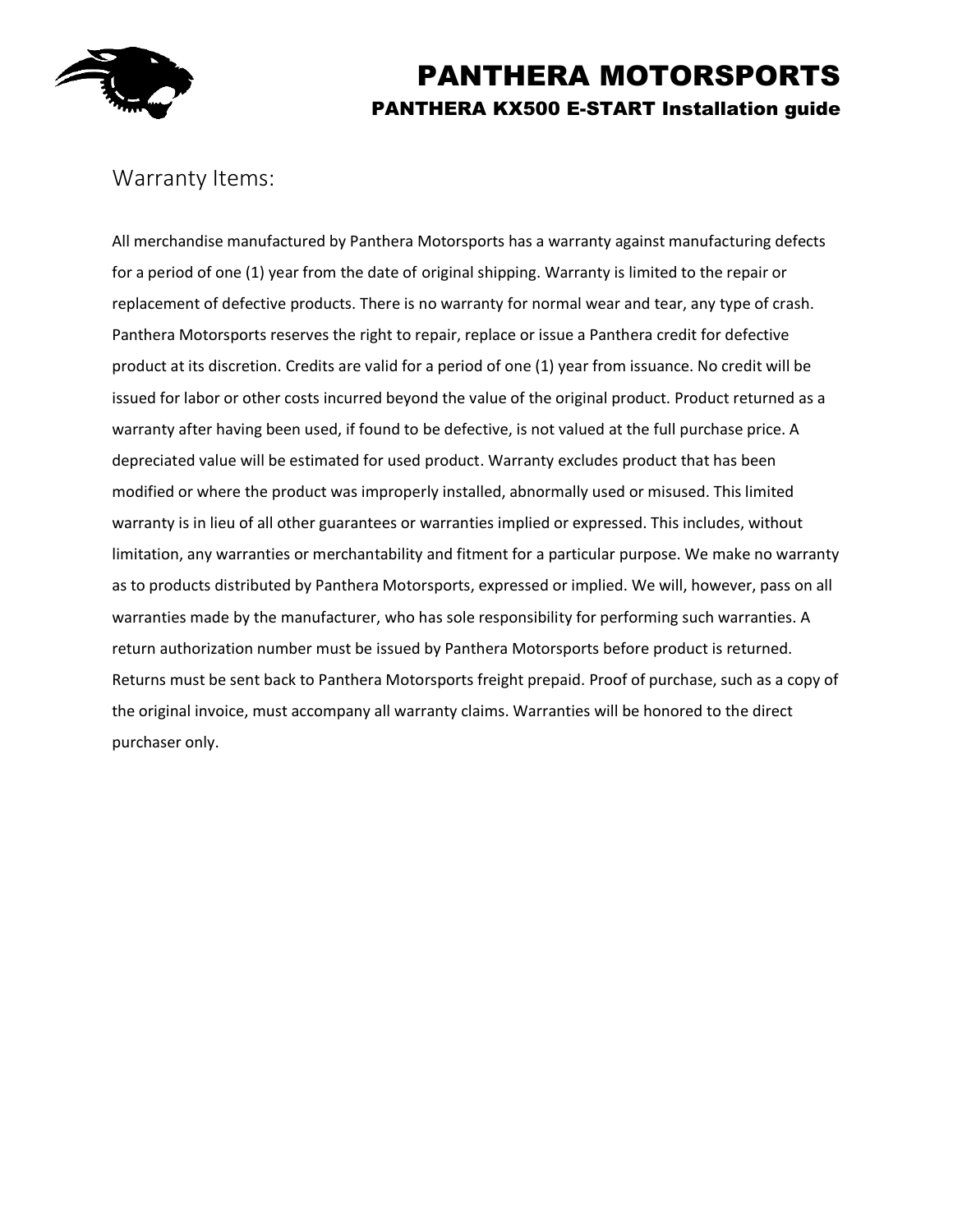

## Warranty Items:

All merchandise manufactured by Panthera Motorsports has a warranty against manufacturing defects for a period of one (1) year from the date of original shipping. Warranty is limited to the repair or replacement of defective products. There is no warranty for normal wear and tear, any type of crash. Panthera Motorsports reserves the right to repair, replace or issue a Panthera credit for defective product at its discretion. Credits are valid for a period of one (1) year from issuance. No credit will be issued for labor or other costs incurred beyond the value of the original product. Product returned as a warranty after having been used, if found to be defective, is not valued at the full purchase price. A depreciated value will be estimated for used product. Warranty excludes product that has been modified or where the product was improperly installed, abnormally used or misused. This limited warranty is in lieu of all other guarantees or warranties implied or expressed. This includes, without limitation, any warranties or merchantability and fitment for a particular purpose. We make no warranty as to products distributed by Panthera Motorsports, expressed or implied. We will, however, pass on all warranties made by the manufacturer, who has sole responsibility for performing such warranties. A return authorization number must be issued by Panthera Motorsports before product is returned. Returns must be sent back to Panthera Motorsports freight prepaid. Proof of purchase, such as a copy of the original invoice, must accompany all warranty claims. Warranties will be honored to the direct purchaser only.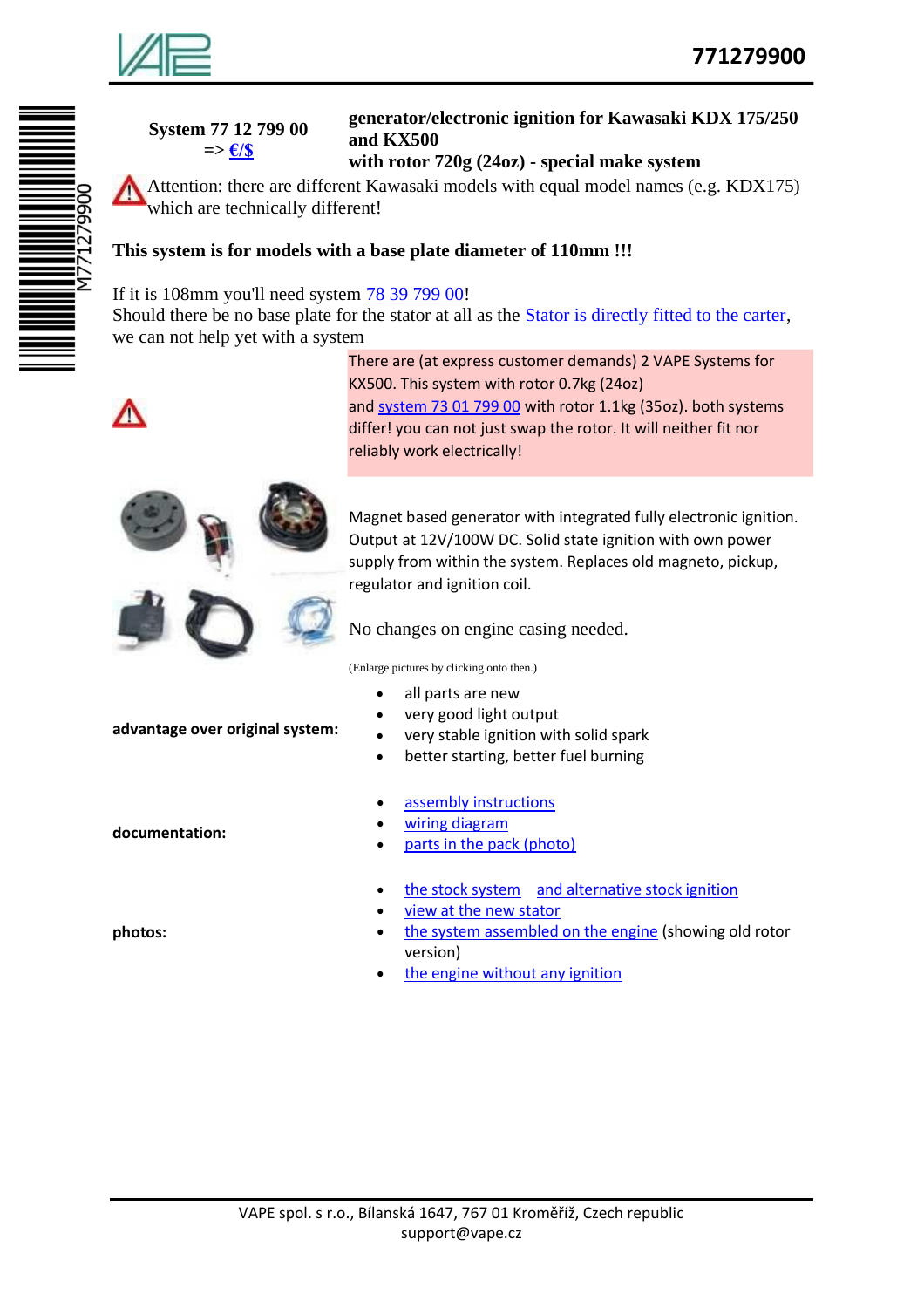

| System 77 12 799 00              |
|----------------------------------|
| $\Rightarrow \frac{\epsilon}{s}$ |

## **generator/electronic ignition for Kawasaki KDX 175/250 and KX500**

## **with rotor 720g (24oz) - special make system**

Attention: there are different Kawasaki models with equal model names (e.g. KDX175) which are technically different!

## **This system is for models with a base plate diameter of 110mm !!!**

## If it is 108mm you'll need system 78 39 799 00!

Should there be no base plate for the stator at all as the Stator is directly fitted to the carter, we can not help yet with a system



There are (at express customer demands) 2 VAPE Systems for KX500. This system with rotor 0.7kg (24oz) and system 73 01 799 00 with rotor 1.1kg (35oz). both systems differ! you can not just swap the rotor. It will neither fit nor reliably work electrically!



**advantage over original system:**

Magnet based generator with integrated fully electronic ignition. Output at 12V/100W DC. Solid state ignition with own power supply from within the system. Replaces old magneto, pickup, regulator and ignition coil.

No changes on engine casing needed.

(Enlarge pictures by clicking onto then.)

- all parts are new
- very good light output
- very stable ignition with solid spark
- better starting, better fuel burning
- assembly instructions
- wiring diagram
- parts in the pack (photo)
- the stock system and alternative stock ignition
- view at the new stator
- the system assembled on the engine (showing old rotor version)
- the engine without any ignition

**documentation:**

**photos:**

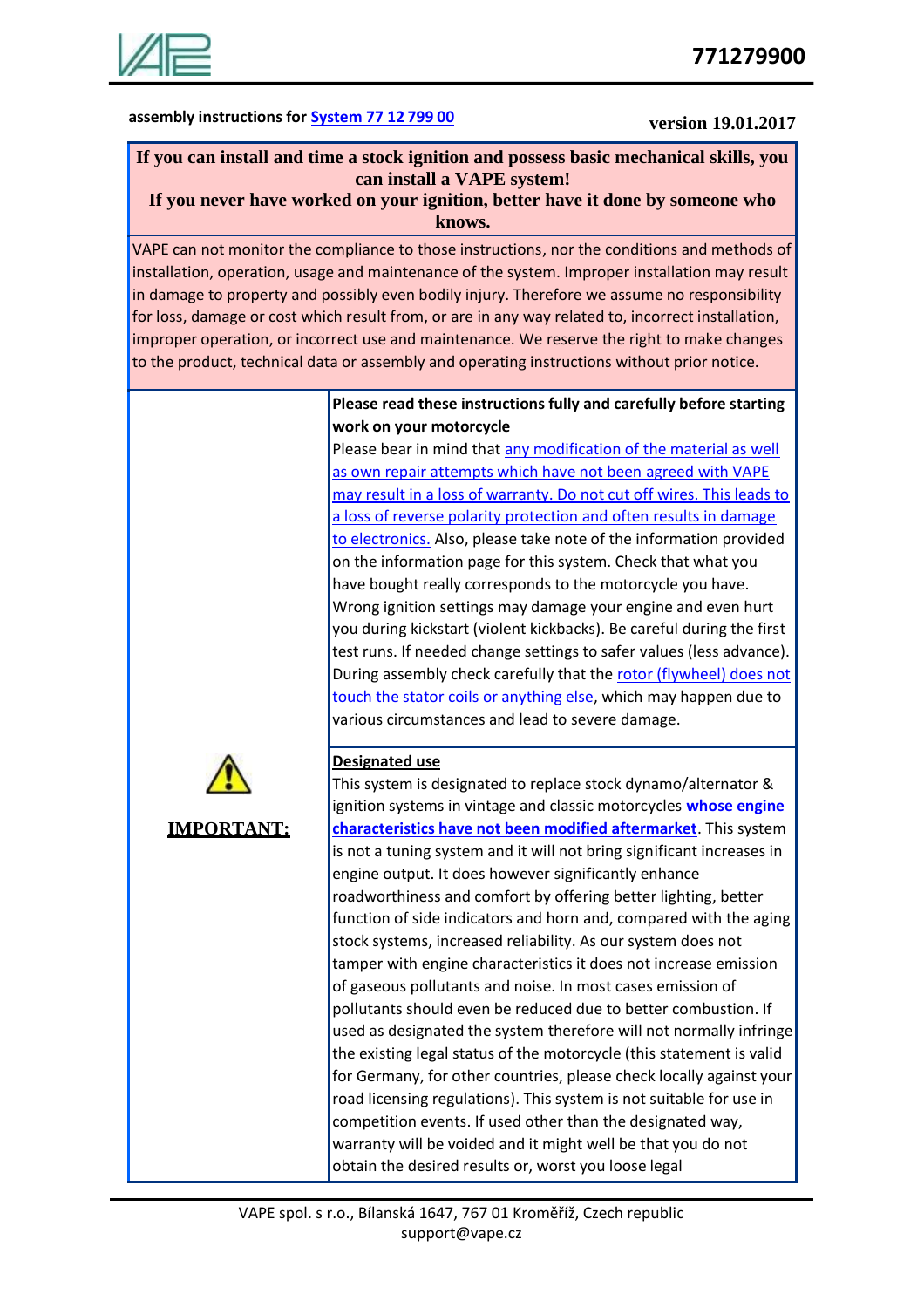

## **assembly instructions for System 77 12 799 00 version 19.01.2017**

#### **If you can install and time a stock ignition and possess basic mechanical skills, you can install a VAPE system! If you never have worked on your ignition, better have it done by someone who**

**knows.**

VAPE can not monitor the compliance to those instructions, nor the conditions and methods of installation, operation, usage and maintenance of the system. Improper installation may result in damage to property and possibly even bodily injury. Therefore we assume no responsibility for loss, damage or cost which result from, or are in any way related to, incorrect installation, improper operation, or incorrect use and maintenance. We reserve the right to make changes to the product, technical data or assembly and operating instructions without prior notice.

#### **Please read these instructions fully and carefully before starting work on your motorcycle**

Please bear in mind that any modification of the material as well as own repair attempts which have not been agreed with VAPE may result in a loss of warranty. Do not cut off wires. This leads to a loss of reverse polarity protection and often results in damage to electronics. Also, please take note of the information provided on the information page for this system. Check that what you have bought really corresponds to the motorcycle you have. Wrong ignition settings may damage your engine and even hurt you during kickstart (violent kickbacks). Be careful during the first test runs. If needed change settings to safer values (less advance). During assembly check carefully that the rotor (flywheel) does not touch the stator coils or anything else, which may happen due to various circumstances and lead to severe damage.



## **Designated use**

**IMPORTANT:** This system is designated to replace stock dynamo/alternator & ignition systems in vintage and classic motorcycles **whose engine characteristics have not been modified aftermarket**. This system is not a tuning system and it will not bring significant increases in engine output. It does however significantly enhance roadworthiness and comfort by offering better lighting, better function of side indicators and horn and, compared with the aging stock systems, increased reliability. As our system does not tamper with engine characteristics it does not increase emission of gaseous pollutants and noise. In most cases emission of pollutants should even be reduced due to better combustion. If used as designated the system therefore will not normally infringe the existing legal status of the motorcycle (this statement is valid for Germany, for other countries, please check locally against your road licensing regulations). This system is not suitable for use in competition events. If used other than the designated way, warranty will be voided and it might well be that you do not obtain the desired results or, worst you loose legal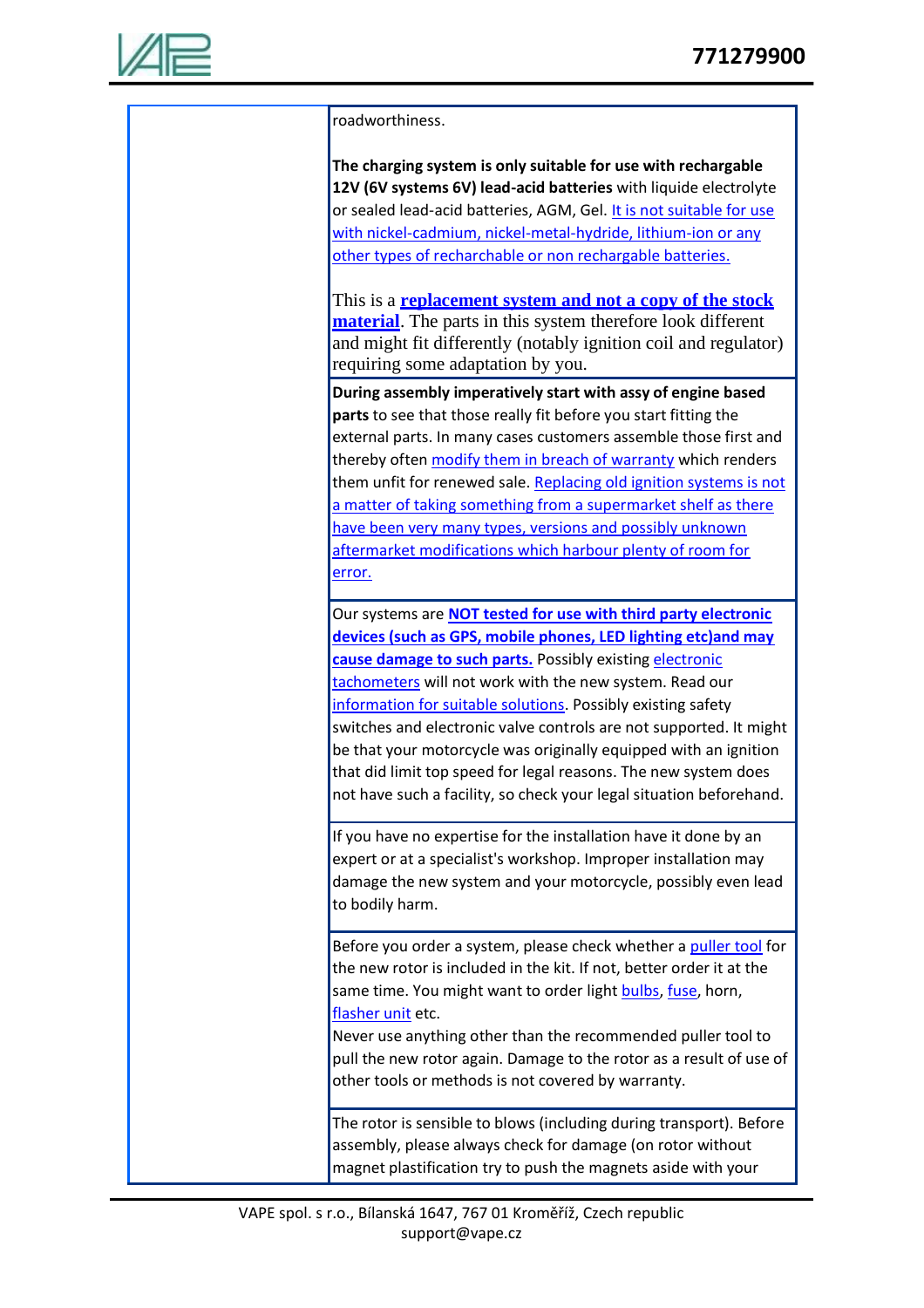

roadworthiness. **The charging system is only suitable for use with rechargable 12V (6V systems 6V) lead-acid batteries** with liquide electrolyte or sealed lead-acid batteries, AGM, Gel. It is not suitable for use with nickel-cadmium, nickel-metal-hydride, lithium-ion or any other types of recharchable or non rechargable batteries. This is a **replacement system and not a copy of the stock material**. The parts in this system therefore look different and might fit differently (notably ignition coil and regulator) requiring some adaptation by you. **During assembly imperatively start with assy of engine based parts** to see that those really fit before you start fitting the external parts. In many cases customers assemble those first and thereby often modify them in breach of warranty which renders them unfit for renewed sale. Replacing old ignition systems is not a matter of taking something from a supermarket shelf as there have been very many types, versions and possibly unknown aftermarket modifications which harbour plenty of room for error. Our systems are **NOT tested for use with third party electronic devices (such as GPS, mobile phones, LED lighting etc)and may cause damage to such parts.** Possibly existing electronic tachometers will not work with the new system. Read our information for suitable solutions. Possibly existing safety switches and electronic valve controls are not supported. It might be that your motorcycle was originally equipped with an ignition that did limit top speed for legal reasons. The new system does not have such a facility, so check your legal situation beforehand. If you have no expertise for the installation have it done by an expert or at a specialist's workshop. Improper installation may damage the new system and your motorcycle, possibly even lead to bodily harm. Before you order a system, please check whether a puller tool for the new rotor is included in the kit. If not, better order it at the same time. You might want to order light bulbs, fuse, horn, flasher unit etc. Never use anything other than the recommended puller tool to pull the new rotor again. Damage to the rotor as a result of use of other tools or methods is not covered by warranty. The rotor is sensible to blows (including during transport). Before assembly, please always check for damage (on rotor without magnet plastification try to push the magnets aside with your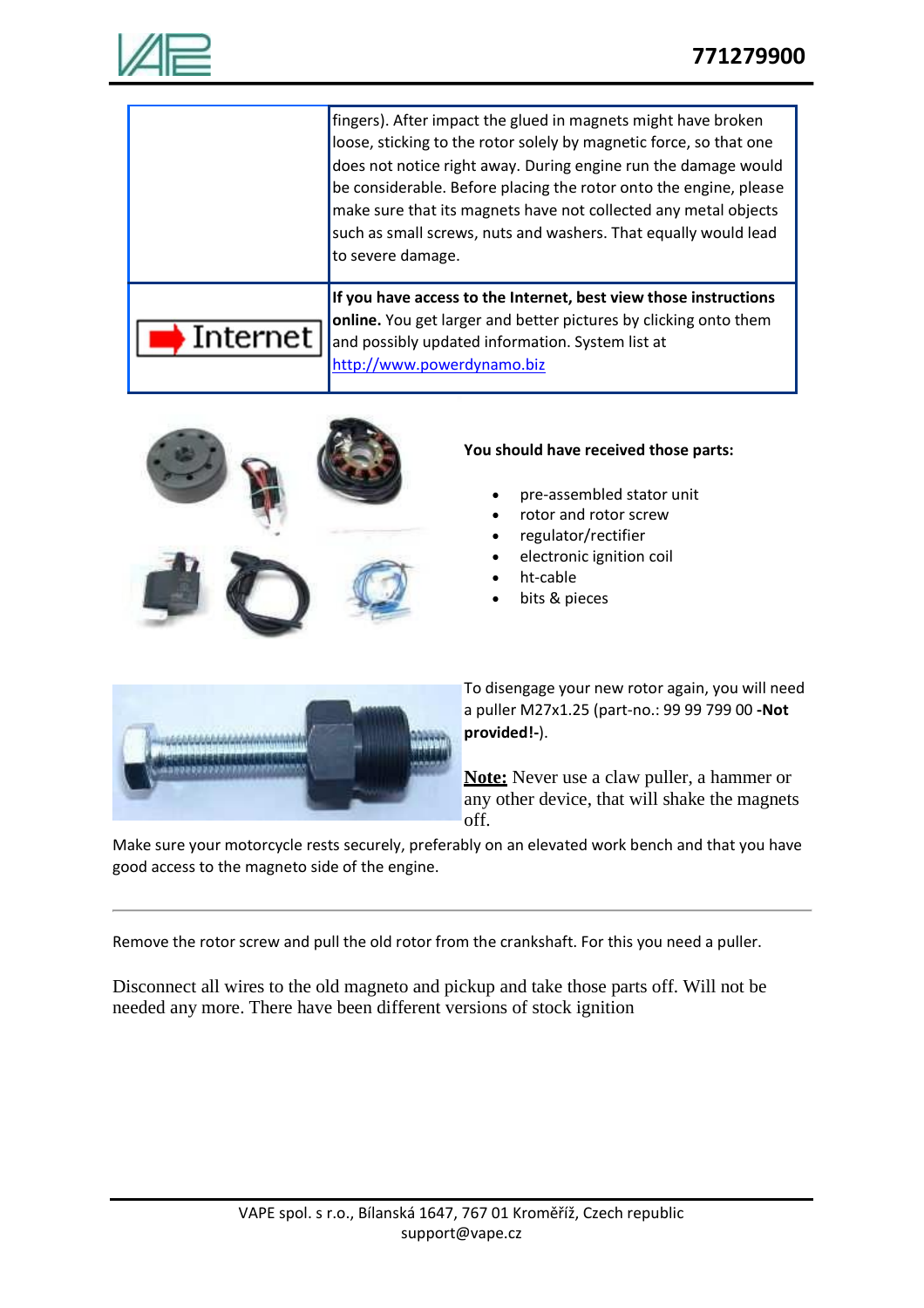

|          | fingers). After impact the glued in magnets might have broken<br>loose, sticking to the rotor solely by magnetic force, so that one<br>does not notice right away. During engine run the damage would<br>be considerable. Before placing the rotor onto the engine, please<br>make sure that its magnets have not collected any metal objects<br>such as small screws, nuts and washers. That equally would lead<br>to severe damage. |
|----------|---------------------------------------------------------------------------------------------------------------------------------------------------------------------------------------------------------------------------------------------------------------------------------------------------------------------------------------------------------------------------------------------------------------------------------------|
| Internet | If you have access to the Internet, best view those instructions<br>online. You get larger and better pictures by clicking onto them<br>and possibly updated information. System list at<br>http://www.powerdynamo.biz                                                                                                                                                                                                                |



#### **You should have received those parts:**

- pre-assembled stator unit
- rotor and rotor screw
- regulator/rectifier
- electronic ignition coil
- ht-cable
- bits & pieces



To disengage your new rotor again, you will need a puller M27x1.25 (part-no.: 99 99 799 00 **-Not provided!-**).

**Note:** Never use a claw puller, a hammer or any other device, that will shake the magnets off.

Make sure your motorcycle rests securely, preferably on an elevated work bench and that you have good access to the magneto side of the engine.

Remove the rotor screw and pull the old rotor from the crankshaft. For this you need a puller.

Disconnect all wires to the old magneto and pickup and take those parts off. Will not be needed any more. There have been different versions of stock ignition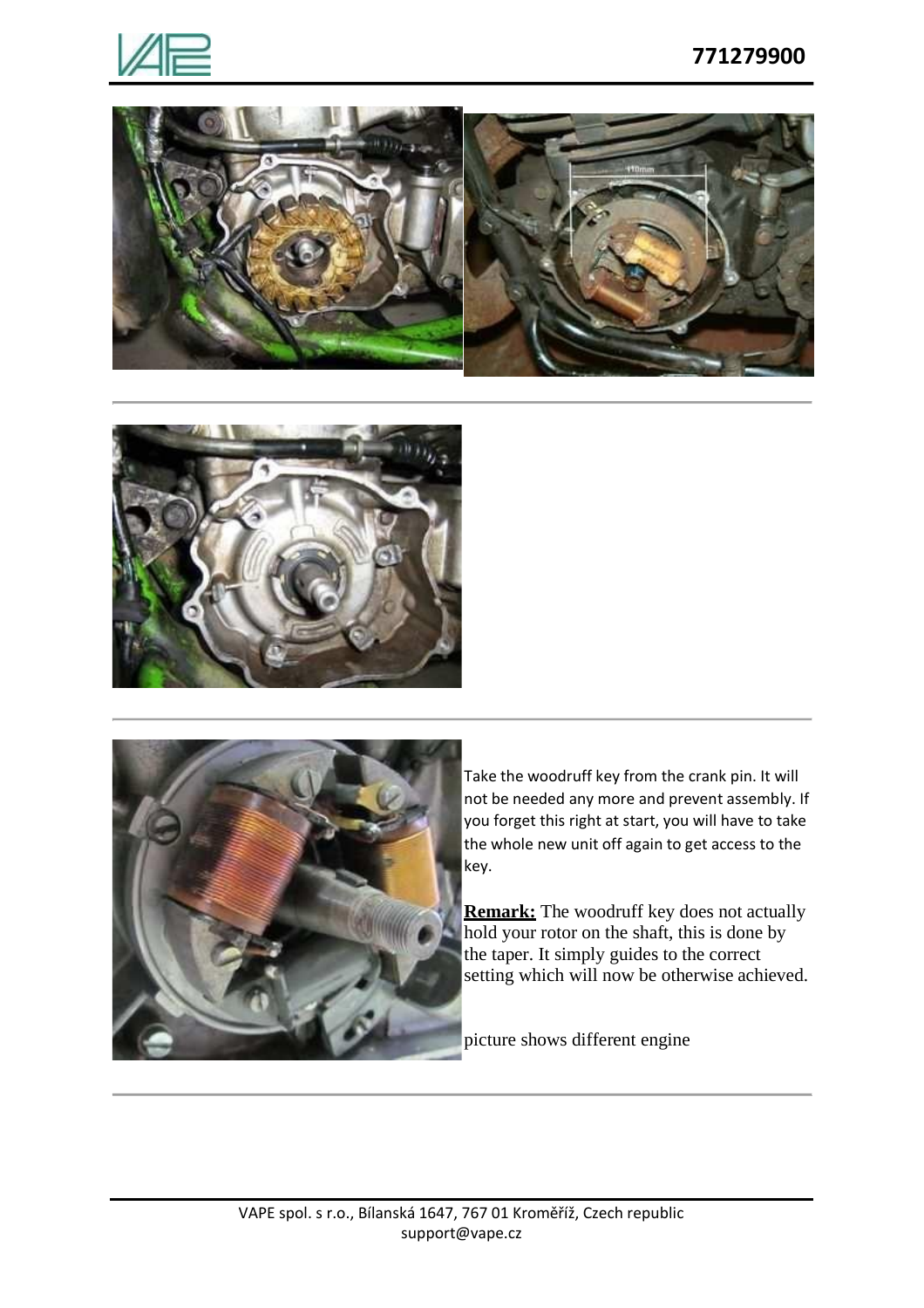







Take the woodruff key from the crank pin. It will not be needed any more and prevent assembly. If you forget this right at start, you will have to take the whole new unit off again to get access to the key.

**Remark:** The woodruff key does not actually hold your rotor on the shaft, this is done by the taper. It simply guides to the correct setting which will now be otherwise achieved.

picture shows different engine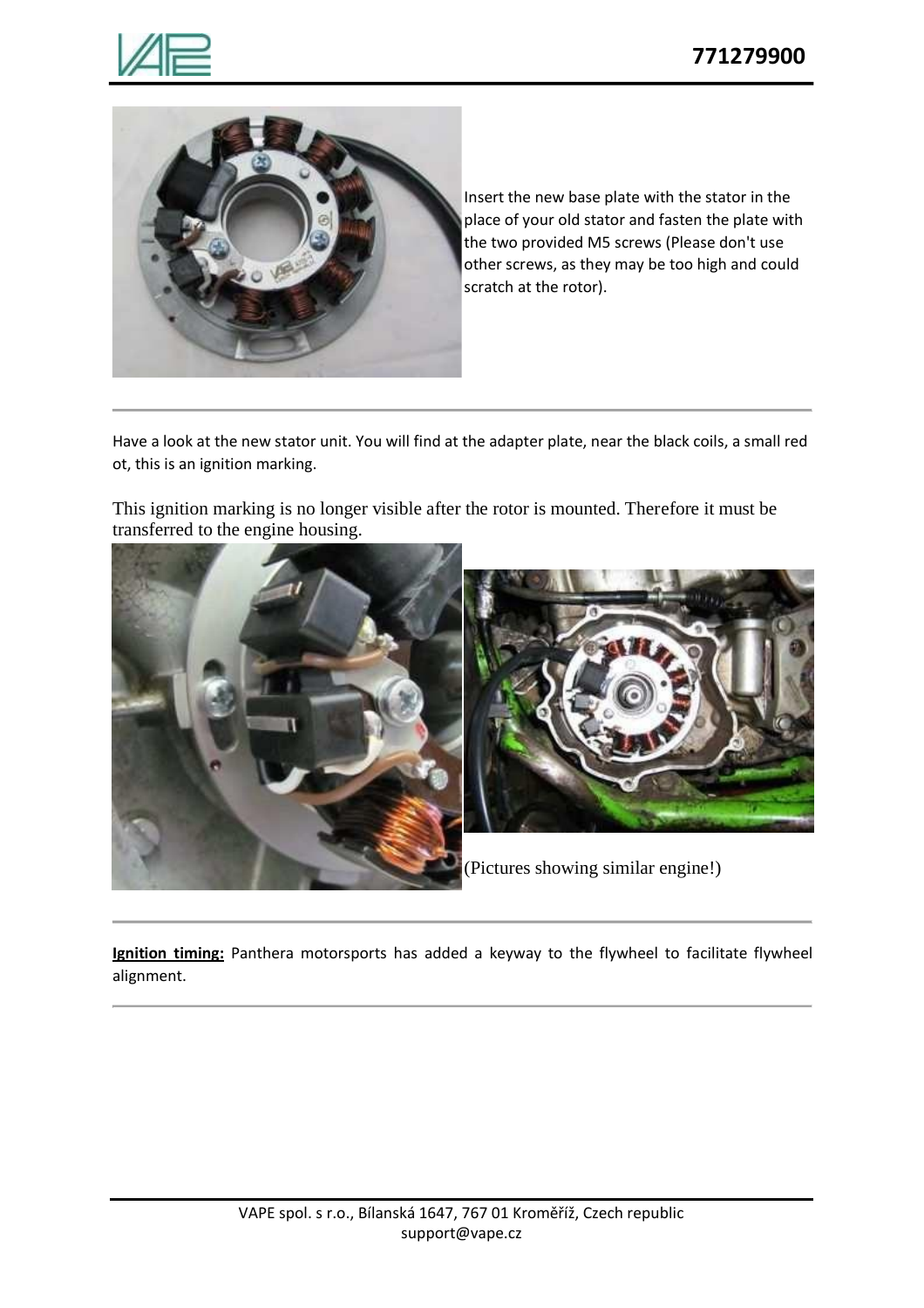



Insert the new base plate with the stator in the place of your old stator and fasten the plate with the two provided M5 screws (Please don't use other screws, as they may be too high and could scratch at the rotor).

Have a look at the new stator unit. You will find at the adapter plate, near the black coils, a small red ot, this is an ignition marking.

This ignition marking is no longer visible after the rotor is mounted. Therefore it must be transferred to the engine housing.



**Ignition timing:** Panthera motorsports has added a keyway to the flywheel to facilitate flywheel alignment.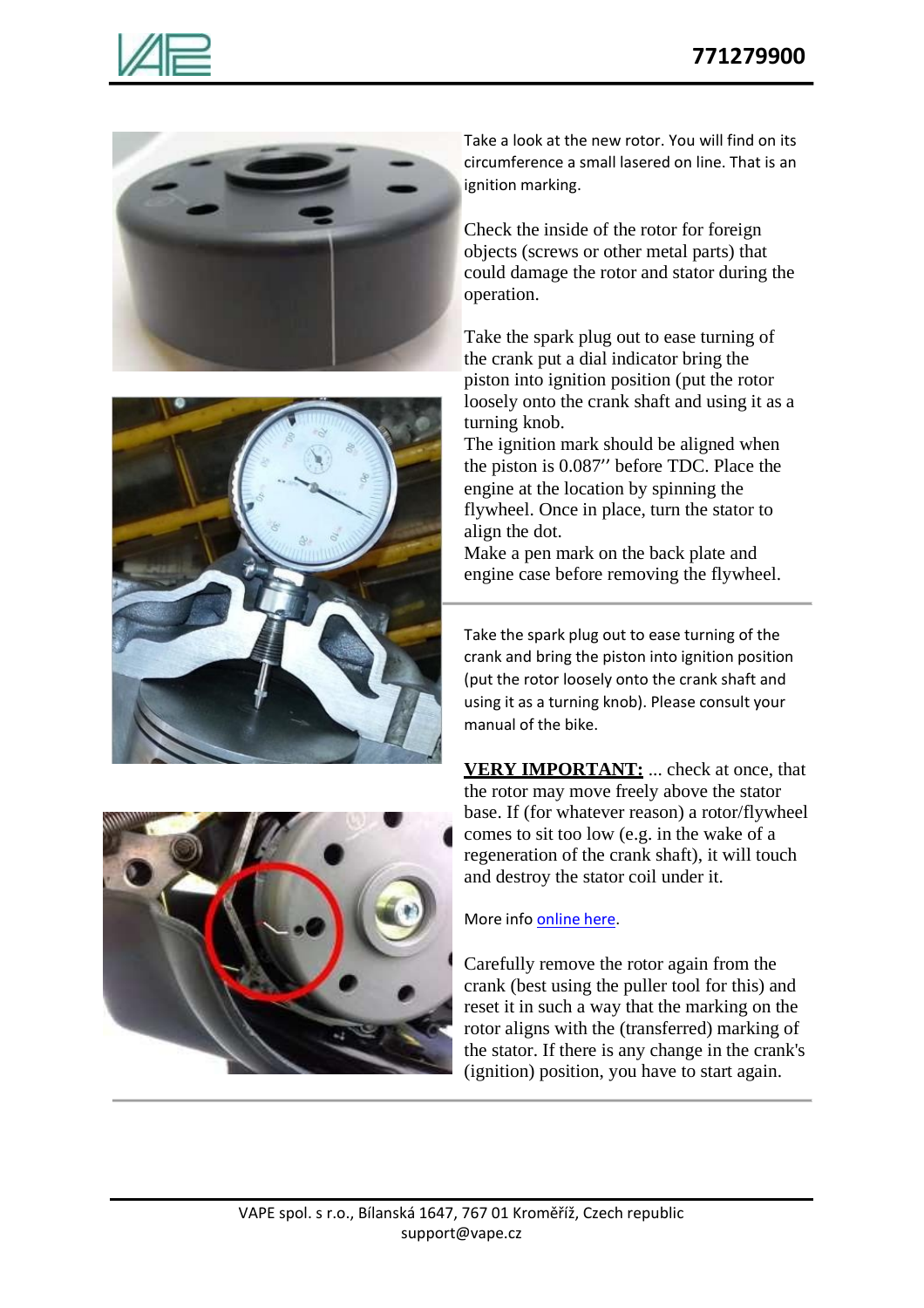





Take a look at the new rotor. You will find on its circumference a small lasered on line. That is an ignition marking.

Check the inside of the rotor for foreign objects (screws or other metal parts) that could damage the rotor and stator during the operation.

Take the spark plug out to ease turning of the crank put a dial indicator bring the piston into ignition position (put the rotor loosely onto the crank shaft and using it as a turning knob.

The ignition mark should be aligned when the piston is 0.087'' before TDC. Place the engine at the location by spinning the flywheel. Once in place, turn the stator to align the dot.

Make a pen mark on the back plate and engine case before removing the flywheel.

Take the spark plug out to ease turning of the crank and bring the piston into ignition position (put the rotor loosely onto the crank shaft and using it as a turning knob). Please consult your manual of the bike.

**VERY IMPORTANT:** ... check at once, that the rotor may move freely above the stator base. If (for whatever reason) a rotor/flywheel comes to sit too low (e.g. in the wake of a regeneration of the crank shaft), it will touch and destroy the stator coil under it.



Carefully remove the rotor again from the crank (best using the puller tool for this) and reset it in such a way that the marking on the rotor aligns with the (transferred) marking of the stator. If there is any change in the crank's (ignition) position, you have to start again.



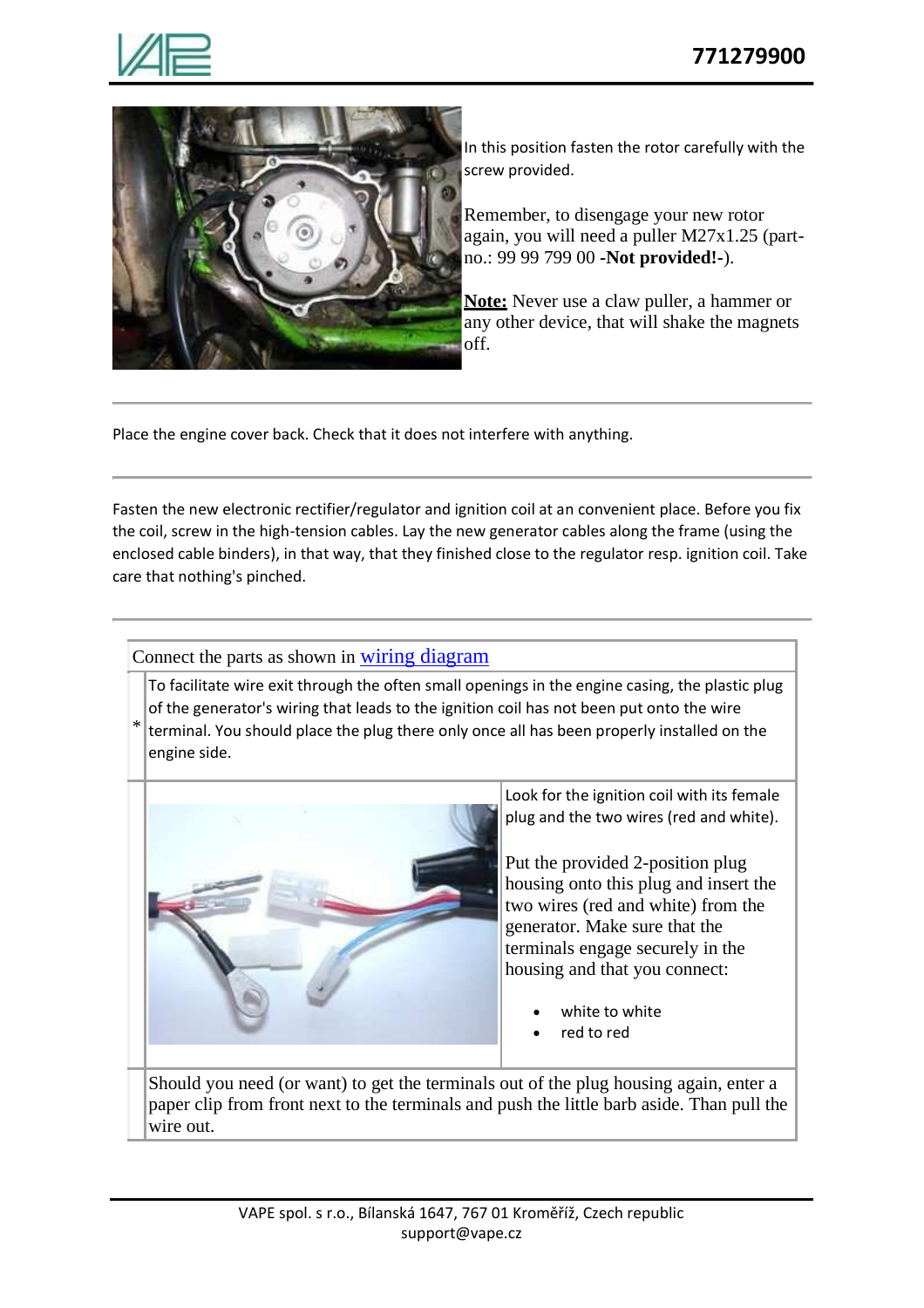



In this position fasten the rotor carefully with the screw provided.

Remember, to disengage your new rotor again, you will need a puller M27x1.25 (partno.: 99 99 799 00 **-Not provided!-**).

**Note:** Never use a claw puller, a hammer or any other device, that will shake the magnets off.

Place the engine cover back. Check that it does not interfere with anything.

Fasten the new electronic rectifier/regulator and ignition coil at an convenient place. Before you fix the coil, screw in the high-tension cables. Lay the new generator cables along the frame (using the enclosed cable binders), in that way, that they finished close to the regulator resp. ignition coil. Take care that nothing's pinched.

Connect the parts as shown in wiring diagram

To facilitate wire exit through the often small openings in the engine casing, the plastic plug of the generator's wiring that leads to the ignition coil has not been put onto the wire

\* terminal. You should place the plug there only once all has been properly installed on the engine side.



Look for the ignition coil with its female plug and the two wires (red and white).

Put the provided 2-position plug housing onto this plug and insert the two wires (red and white) from the generator. Make sure that the terminals engage securely in the housing and that you connect:

- white to white
- red to red

Should you need (or want) to get the terminals out of the plug housing again, enter a paper clip from front next to the terminals and push the little barb aside. Than pull the wire out.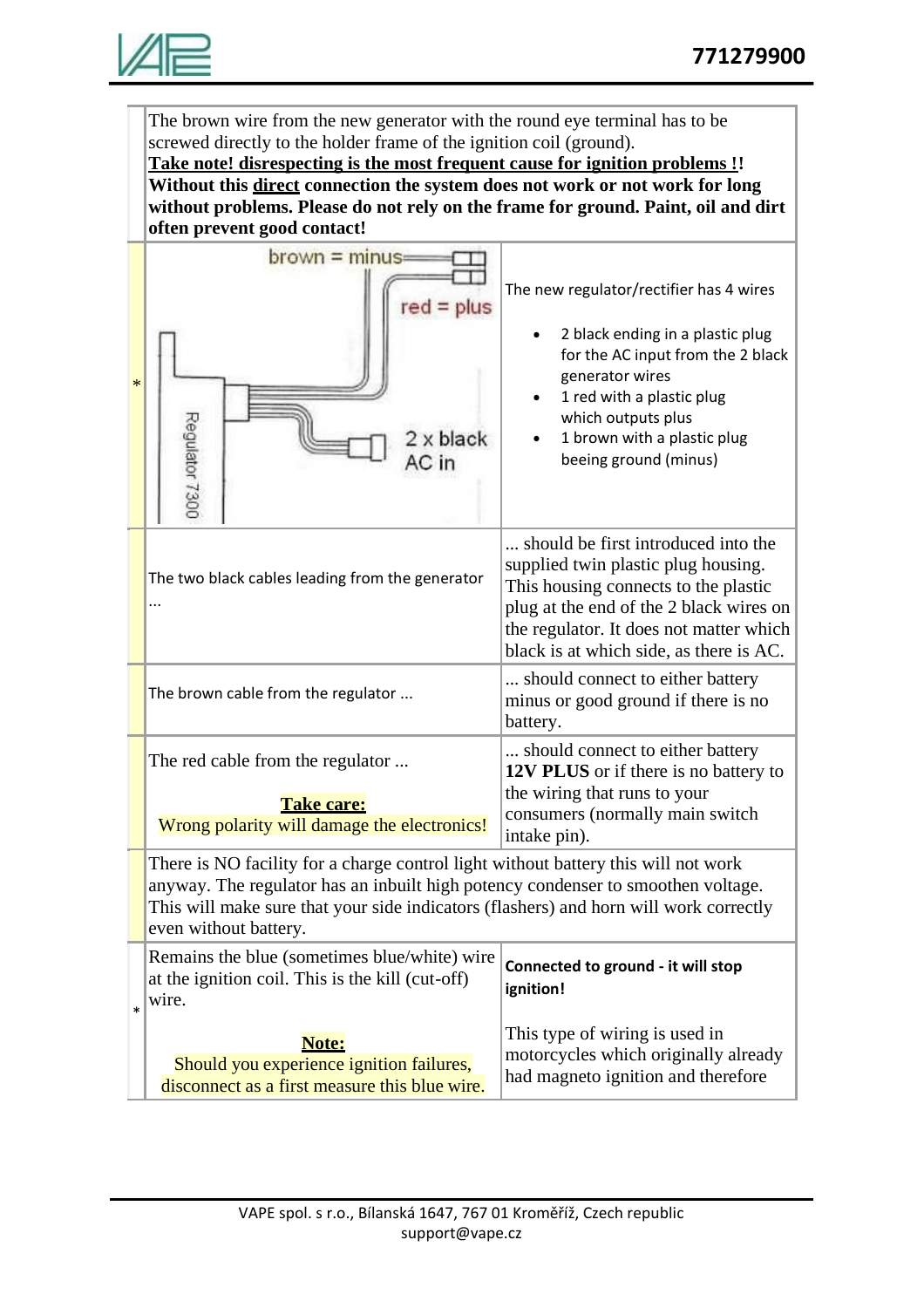

The brown wire from the new generator with the round eye terminal has to be screwed directly to the holder frame of the ignition coil (ground).

**Take note! disrespecting is the most frequent cause for ignition problems !! Without this direct connection the system does not work or not work for long without problems. Please do not rely on the frame for ground. Paint, oil and dirt often prevent good contact!**

| $\ast$ | $brown = minus =$<br>Regulator 7300<br>x black                                                                                                                                                                                                                                           | The new regulator/rectifier has 4 wires<br>2 black ending in a plastic plug<br>for the AC input from the 2 black<br>generator wires<br>1 red with a plastic plug<br>which outputs plus<br>1 brown with a plastic plug<br>beeing ground (minus)      |  |
|--------|------------------------------------------------------------------------------------------------------------------------------------------------------------------------------------------------------------------------------------------------------------------------------------------|-----------------------------------------------------------------------------------------------------------------------------------------------------------------------------------------------------------------------------------------------------|--|
|        | The two black cables leading from the generator                                                                                                                                                                                                                                          | should be first introduced into the<br>supplied twin plastic plug housing.<br>This housing connects to the plastic<br>plug at the end of the 2 black wires on<br>the regulator. It does not matter which<br>black is at which side, as there is AC. |  |
|        | The brown cable from the regulator                                                                                                                                                                                                                                                       | should connect to either battery<br>minus or good ground if there is no<br>battery.                                                                                                                                                                 |  |
|        | The red cable from the regulator<br><b>Take care:</b><br>Wrong polarity will damage the electronics!                                                                                                                                                                                     | should connect to either battery<br>12V PLUS or if there is no battery to<br>the wiring that runs to your<br>consumers (normally main switch<br>intake pin).                                                                                        |  |
|        | There is NO facility for a charge control light without battery this will not work<br>anyway. The regulator has an inbuilt high potency condenser to smoothen voltage.<br>This will make sure that your side indicators (flashers) and horn will work correctly<br>even without battery. |                                                                                                                                                                                                                                                     |  |
| $\ast$ | Remains the blue (sometimes blue/white) wire<br>at the ignition coil. This is the kill (cut-off)<br>wire.                                                                                                                                                                                | Connected to ground - it will stop<br>ignition!                                                                                                                                                                                                     |  |
|        | Note:<br>Should you experience ignition failures,<br>disconnect as a first measure this blue wire.                                                                                                                                                                                       | This type of wiring is used in<br>motorcycles which originally already<br>had magneto ignition and therefore                                                                                                                                        |  |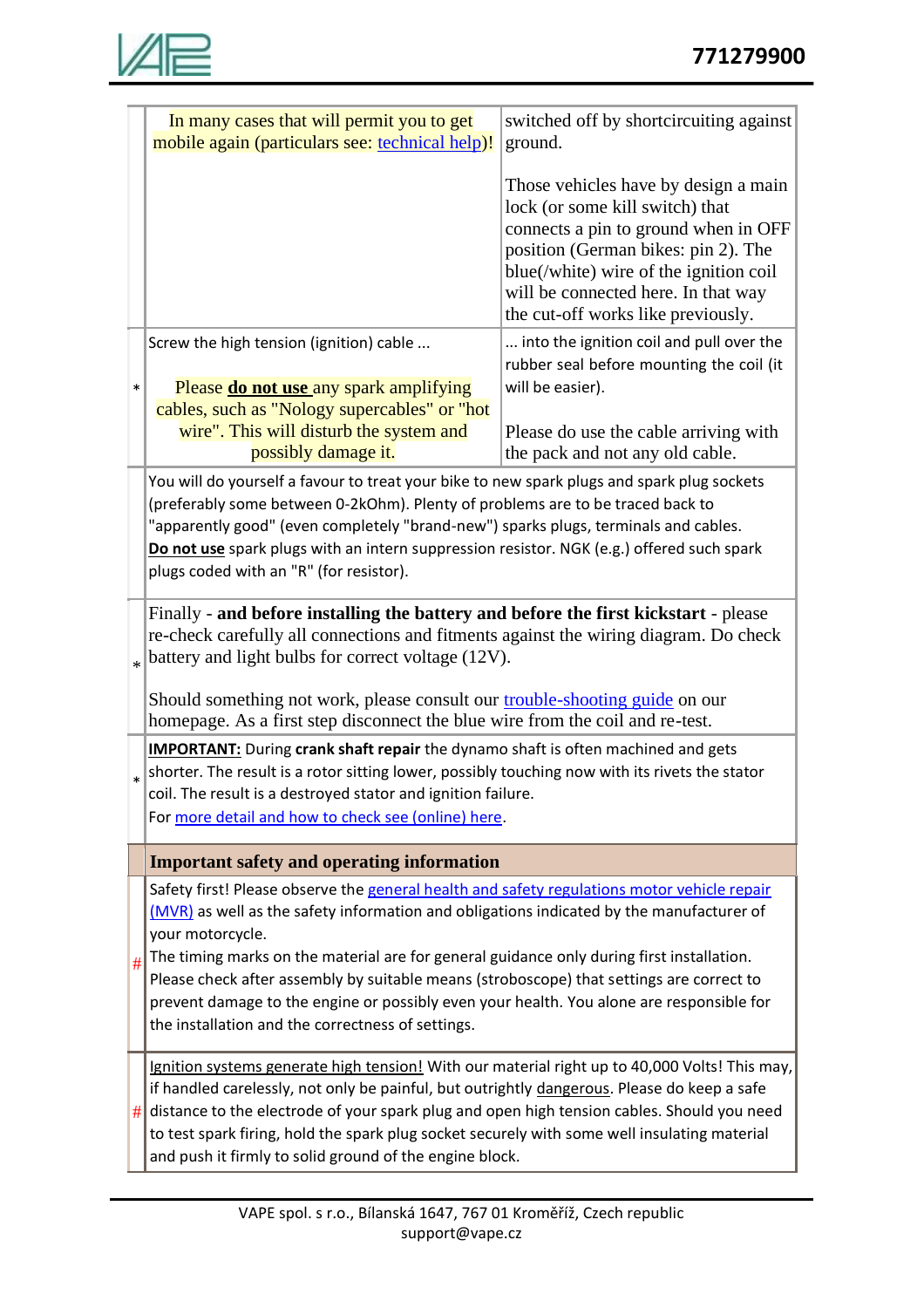

|        | In many cases that will permit you to get<br>mobile again (particulars see: technical help)!                                                                                                                                                                                                                                                                                                                                                                                                                                                          | switched off by shortcircuiting against<br>ground.                                                                                                                                                                                                                            |  |  |
|--------|-------------------------------------------------------------------------------------------------------------------------------------------------------------------------------------------------------------------------------------------------------------------------------------------------------------------------------------------------------------------------------------------------------------------------------------------------------------------------------------------------------------------------------------------------------|-------------------------------------------------------------------------------------------------------------------------------------------------------------------------------------------------------------------------------------------------------------------------------|--|--|
|        |                                                                                                                                                                                                                                                                                                                                                                                                                                                                                                                                                       | Those vehicles have by design a main<br>lock (or some kill switch) that<br>connects a pin to ground when in OFF<br>position (German bikes: pin 2). The<br>blue(/white) wire of the ignition coil<br>will be connected here. In that way<br>the cut-off works like previously. |  |  |
| $\ast$ | Screw the high tension (ignition) cable<br>Please <b>do not use</b> any spark amplifying<br>cables, such as "Nology supercables" or "hot                                                                                                                                                                                                                                                                                                                                                                                                              | into the ignition coil and pull over the<br>rubber seal before mounting the coil (it<br>will be easier).                                                                                                                                                                      |  |  |
|        | wire". This will disturb the system and<br>possibly damage it.                                                                                                                                                                                                                                                                                                                                                                                                                                                                                        | Please do use the cable arriving with<br>the pack and not any old cable.                                                                                                                                                                                                      |  |  |
|        | You will do yourself a favour to treat your bike to new spark plugs and spark plug sockets<br>(preferably some between 0-2kOhm). Plenty of problems are to be traced back to<br>"apparently good" (even completely "brand-new") sparks plugs, terminals and cables.<br>Do not use spark plugs with an intern suppression resistor. NGK (e.g.) offered such spark<br>plugs coded with an "R" (for resistor).                                                                                                                                           |                                                                                                                                                                                                                                                                               |  |  |
|        | Finally - and before installing the battery and before the first kickstart - please<br>re-check carefully all connections and fitments against the wiring diagram. Do check<br>battery and light bulbs for correct voltage (12V).                                                                                                                                                                                                                                                                                                                     |                                                                                                                                                                                                                                                                               |  |  |
|        | Should something not work, please consult our trouble-shooting guide on our<br>homepage. As a first step disconnect the blue wire from the coil and re-test.                                                                                                                                                                                                                                                                                                                                                                                          |                                                                                                                                                                                                                                                                               |  |  |
|        | <b>IMPORTANT:</b> During crank shaft repair the dynamo shaft is often machined and gets<br>shorter. The result is a rotor sitting lower, possibly touching now with its rivets the stator<br>coil. The result is a destroyed stator and ignition failure.<br>For more detail and how to check see (online) here.                                                                                                                                                                                                                                      |                                                                                                                                                                                                                                                                               |  |  |
|        | <b>Important safety and operating information</b>                                                                                                                                                                                                                                                                                                                                                                                                                                                                                                     |                                                                                                                                                                                                                                                                               |  |  |
| #      | Safety first! Please observe the general health and safety regulations motor vehicle repair<br>(MVR) as well as the safety information and obligations indicated by the manufacturer of<br>your motorcycle.<br>The timing marks on the material are for general guidance only during first installation.<br>Please check after assembly by suitable means (stroboscope) that settings are correct to<br>prevent damage to the engine or possibly even your health. You alone are responsible for<br>the installation and the correctness of settings. |                                                                                                                                                                                                                                                                               |  |  |
| #      | Ignition systems generate high tension! With our material right up to 40,000 Volts! This may,<br>if handled carelessly, not only be painful, but outrightly dangerous. Please do keep a safe<br>distance to the electrode of your spark plug and open high tension cables. Should you need<br>to test spark firing, hold the spark plug socket securely with some well insulating material<br>and push it firmly to solid ground of the engine block.                                                                                                 |                                                                                                                                                                                                                                                                               |  |  |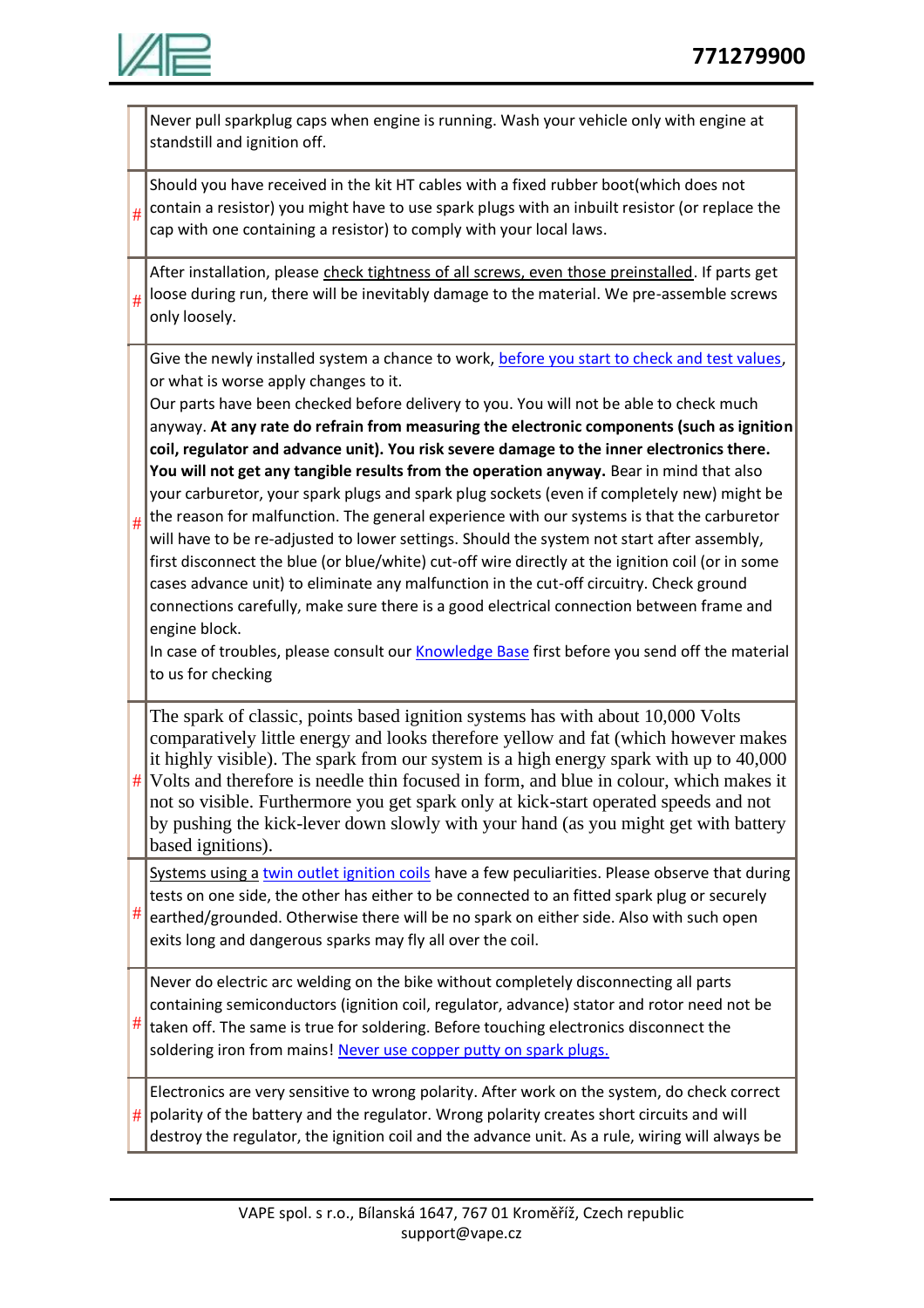

|   | Never pull sparkplug caps when engine is running. Wash your vehicle only with engine at<br>standstill and ignition off.                                                                                                                                                                                                                                                                                                                                                                                                                                                                                                                                                                                                                                                                                                                                                                                                                                                                                                                                                                                                                                                                                                                           |
|---|---------------------------------------------------------------------------------------------------------------------------------------------------------------------------------------------------------------------------------------------------------------------------------------------------------------------------------------------------------------------------------------------------------------------------------------------------------------------------------------------------------------------------------------------------------------------------------------------------------------------------------------------------------------------------------------------------------------------------------------------------------------------------------------------------------------------------------------------------------------------------------------------------------------------------------------------------------------------------------------------------------------------------------------------------------------------------------------------------------------------------------------------------------------------------------------------------------------------------------------------------|
|   | Should you have received in the kit HT cables with a fixed rubber boot(which does not<br>contain a resistor) you might have to use spark plugs with an inbuilt resistor (or replace the<br>#<br>cap with one containing a resistor) to comply with your local laws.                                                                                                                                                                                                                                                                                                                                                                                                                                                                                                                                                                                                                                                                                                                                                                                                                                                                                                                                                                               |
| # | After installation, please check tightness of all screws, even those preinstalled. If parts get<br>loose during run, there will be inevitably damage to the material. We pre-assemble screws<br>only loosely.                                                                                                                                                                                                                                                                                                                                                                                                                                                                                                                                                                                                                                                                                                                                                                                                                                                                                                                                                                                                                                     |
| # | Give the newly installed system a chance to work, before you start to check and test values,<br>or what is worse apply changes to it.<br>Our parts have been checked before delivery to you. You will not be able to check much<br>anyway. At any rate do refrain from measuring the electronic components (such as ignition<br>coil, regulator and advance unit). You risk severe damage to the inner electronics there.<br>You will not get any tangible results from the operation anyway. Bear in mind that also<br>your carburetor, your spark plugs and spark plug sockets (even if completely new) might be<br>the reason for malfunction. The general experience with our systems is that the carburetor<br>will have to be re-adjusted to lower settings. Should the system not start after assembly,<br>first disconnect the blue (or blue/white) cut-off wire directly at the ignition coil (or in some<br>cases advance unit) to eliminate any malfunction in the cut-off circuitry. Check ground<br>connections carefully, make sure there is a good electrical connection between frame and<br>engine block.<br>In case of troubles, please consult our Knowledge Base first before you send off the material<br>to us for checking |
|   | The spark of classic, points based ignition systems has with about 10,000 Volts<br>comparatively little energy and looks therefore yellow and fat (which however makes<br>it highly visible). The spark from our system is a high energy spark with up to 40,000<br>Volts and therefore is needle thin focused in form, and blue in colour, which makes it<br>#<br>not so visible. Furthermore you get spark only at kick-start operated speeds and not<br>by pushing the kick-lever down slowly with your hand (as you might get with battery<br>based ignitions).                                                                                                                                                                                                                                                                                                                                                                                                                                                                                                                                                                                                                                                                               |
|   | Systems using a twin outlet ignition coils have a few peculiarities. Please observe that during<br>tests on one side, the other has either to be connected to an fitted spark plug or securely<br>#<br>earthed/grounded. Otherwise there will be no spark on either side. Also with such open<br>exits long and dangerous sparks may fly all over the coil.                                                                                                                                                                                                                                                                                                                                                                                                                                                                                                                                                                                                                                                                                                                                                                                                                                                                                       |
|   | Never do electric arc welding on the bike without completely disconnecting all parts<br>containing semiconductors (ignition coil, regulator, advance) stator and rotor need not be<br>taken off. The same is true for soldering. Before touching electronics disconnect the<br>soldering iron from mains! Never use copper putty on spark plugs.                                                                                                                                                                                                                                                                                                                                                                                                                                                                                                                                                                                                                                                                                                                                                                                                                                                                                                  |
|   | Electronics are very sensitive to wrong polarity. After work on the system, do check correct<br>polarity of the battery and the regulator. Wrong polarity creates short circuits and will<br>#<br>destroy the regulator, the ignition coil and the advance unit. As a rule, wiring will always be                                                                                                                                                                                                                                                                                                                                                                                                                                                                                                                                                                                                                                                                                                                                                                                                                                                                                                                                                 |